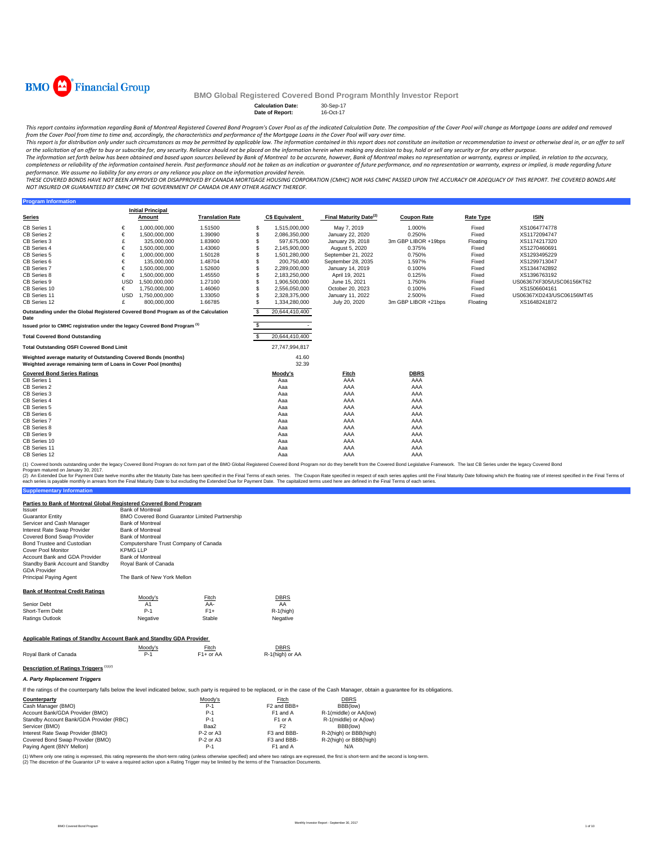

**Program Inform** 

### **BMO Global Registered Covered Bond Program Monthly Investor Report**

#### Calculation Date: 30-Sep-17<br>Date of Report: 16-Oct-17 **Date of Report:**

This report contains information regarding Bank of Montreal Registered Covered Bond Program's Cover Pool as of the indicated Calculation Date. The composition of the Cover Pool will change as Mortgage Loans are added and r from the Cover Pool from time to time and, accordingly, the characteristics and performance of the Mortgage Loans in the Cover Pool will vary over time.

This report is for distribution only under such circumstances as may be permitted by applicable law. The information contained in this report does not constitute an invitation or recommendation to invest or otherwise deal

The information set forth below has been obtained and based upon sources believed by Bank of Montreal to be accurate, however, Bank of Montreal makes no representation or warranty, express or implied, in relation to the ac completeness or reliability of the information contained herein. Past performance should not be taken as an indication or guarantee of future performance, and no representation or warranty, express or implied, is made rega

THESE COVERED BONDS HAVE NOT BEEN APPROVED OR DISAPPROVED BY CANADA MORTGAGE HOUSING CORPORATION (CMHC) NOR HAS CMHC PASSED UPON THE ACCURACY OR ADEQUACY OF THIS REPORT. THE COVERED BONDS ARE *NOT INSURED OR GUARANTEED BY CMHC OR THE GOVERNMENT OF CANADA OR ANY OTHER AGENCY THEREOF.*

|                                                                                                                                    |            | <b>Initial Principal</b> |                         |   |                       |                                    |                     |                  |                           |
|------------------------------------------------------------------------------------------------------------------------------------|------------|--------------------------|-------------------------|---|-----------------------|------------------------------------|---------------------|------------------|---------------------------|
| <b>Series</b>                                                                                                                      |            | Amount                   | <b>Translation Rate</b> |   | <b>C\$ Equivalent</b> | Final Maturity Date <sup>(2)</sup> | <b>Coupon Rate</b>  | <b>Rate Type</b> | <b>ISIN</b>               |
| CB Series 1                                                                                                                        | €          | 1,000,000,000            | 1.51500                 | s | 1,515,000,000         | May 7, 2019                        | 1.000%              | Fixed            | XS1064774778              |
| CB Series 2                                                                                                                        | €          | 1.500.000.000            | 1.39090                 | S | 2,086,350,000         | January 22, 2020                   | 0.250%              | Fixed            | XS1172094747              |
| CB Series 3                                                                                                                        | £          | 325,000,000              | 1.83900                 |   | 597.675.000           | January 29, 2018                   | 3m GBP LIBOR +19bps | Floating         | XS1174217320              |
| CB Series 4                                                                                                                        | €          | 1.500.000.000            | 1.43060                 |   | 2.145.900.000         | August 5, 2020                     | 0.375%              | Fixed            | XS1270460691              |
| CB Series 5                                                                                                                        | €          | 1.000.000.000            | 1.50128                 |   | 1,501,280,000         | September 21, 2022                 | 0.750%              | Fixed            | XS1293495229              |
| CB Series 6                                                                                                                        | €          | 135,000,000              | 1.48704                 |   | 200.750.400           | September 28, 2035                 | 1.597%              | Fixed            | XS1299713047              |
| <b>CB Series 7</b>                                                                                                                 | €          | 1,500,000,000            | 1.52600                 |   | 2.289.000.000         | January 14, 2019                   | 0.100%              | Fixed            | XS1344742892              |
| CB Series 8                                                                                                                        | €          | 1.500.000.000            | 1.45550                 |   | 2,183,250,000         | April 19, 2021                     | 0.125%              | Fixed            | XS1396763192              |
| CB Series 9                                                                                                                        | <b>USD</b> | 1,500,000,000            | 1.27100                 |   | 1,906,500,000         | June 15, 2021                      | 1.750%              | Fixed            | US06367XF305/USC06156KT62 |
| CB Series 10                                                                                                                       | €          | 1.750.000.000            | 1.46060                 |   | 2.556.050.000         | October 20, 2023                   | 0.100%              | Fixed            | XS1506604161              |
| CB Series 11                                                                                                                       | <b>USD</b> | 1,750,000,000            | 1.33050                 |   | 2,328,375,000         | January 11, 2022                   | 2.500%              | Fixed            | US06367XD243/USC06156MT45 |
| CB Series 12                                                                                                                       | £          | 800.000.000              | 1.66785                 |   | 1,334,280,000         | July 20, 2020                      | 3m GBP LIBOR +21bps | Floating         | XS1648241872              |
| Outstanding under the Global Registered Covered Bond Program as of the Calculation<br>Date                                         |            |                          |                         |   | 20.644.410.400        |                                    |                     |                  |                           |
| Issued prior to CMHC registration under the legacy Covered Bond Program (1)                                                        |            |                          |                         |   |                       |                                    |                     |                  |                           |
| <b>Total Covered Bond Outstanding</b>                                                                                              |            |                          |                         |   | 20,644,410,400        |                                    |                     |                  |                           |
| <b>Total Outstanding OSFI Covered Bond Limit</b>                                                                                   |            |                          |                         |   | 27,747,994,817        |                                    |                     |                  |                           |
| Weighted average maturity of Outstanding Covered Bonds (months)<br>Weighted average remaining term of Loans in Cover Pool (months) |            |                          |                         |   | 41.60<br>32.39        |                                    |                     |                  |                           |
| <b>Covered Bond Series Ratings</b>                                                                                                 |            |                          |                         |   | Moody's               | Fitch                              | <b>DBRS</b>         |                  |                           |
| CB Series 1                                                                                                                        |            |                          |                         |   | Aaa                   | AAA                                | AAA                 |                  |                           |
| CB Series 2                                                                                                                        |            |                          |                         |   | Aaa                   | AAA                                | AAA                 |                  |                           |
| CB Series 3                                                                                                                        |            |                          |                         |   | Aaa                   | AAA                                | AAA                 |                  |                           |
| CB Series 4                                                                                                                        |            |                          |                         |   | Aaa                   | AAA                                | AAA                 |                  |                           |
| CB Series 5                                                                                                                        |            |                          |                         |   | Aaa                   | AAA                                | AAA                 |                  |                           |
| CB Series 6                                                                                                                        |            |                          |                         |   | Aaa                   | AAA                                | AAA                 |                  |                           |
| <b>CB Series 7</b>                                                                                                                 |            |                          |                         |   | Aaa                   | AAA                                | AAA                 |                  |                           |
| CB Series 8                                                                                                                        |            |                          |                         |   | Aaa                   | AAA                                | AAA                 |                  |                           |
| CB Series 9                                                                                                                        |            |                          |                         |   | Aaa                   | AAA                                | AAA                 |                  |                           |
| CB Series 10                                                                                                                       |            |                          |                         |   | Aaa                   | AAA                                | AAA                 |                  |                           |
| CB Series 11                                                                                                                       |            |                          |                         |   | Aaa                   | AAA                                | AAA                 |                  |                           |
| CB Series 12                                                                                                                       |            |                          |                         |   | Aaa                   | AAA                                | AAA                 |                  |                           |

(1) Covered bonds outstanding under the legacy Covered Bond Program do not form part of the BMO Global Registered Covered Bond Program nor do they benefit from the Covered Bond Legislative Framework. The last CB Series und

**Supplementary Information** (2) An Extended Due for Payment Date twelve months after the Maturity Date has been specified in the Final Terms of each series. The Coupon Rate specified in the Final Maturity Date to but excluding the Extended Due for Pa

#### **Parties to Bank of Montreal Global Registered Covered Bond Program**

| Parties to Bank of Montreal Global Registered Covered Bond Program  |                             |                                                       |                         |                                                                                                                                                                                              |  |  |  |  |  |  |  |
|---------------------------------------------------------------------|-----------------------------|-------------------------------------------------------|-------------------------|----------------------------------------------------------------------------------------------------------------------------------------------------------------------------------------------|--|--|--|--|--|--|--|
| <i><b>Issuer</b></i>                                                | <b>Bank of Montreal</b>     |                                                       |                         |                                                                                                                                                                                              |  |  |  |  |  |  |  |
| <b>Guarantor Entity</b>                                             |                             | <b>BMO Covered Bond Guarantor Limited Partnership</b> |                         |                                                                                                                                                                                              |  |  |  |  |  |  |  |
| Servicer and Cash Manager                                           | <b>Bank of Montreal</b>     |                                                       |                         |                                                                                                                                                                                              |  |  |  |  |  |  |  |
| Interest Rate Swap Provider                                         | <b>Bank of Montreal</b>     |                                                       |                         |                                                                                                                                                                                              |  |  |  |  |  |  |  |
| Covered Bond Swap Provider                                          | <b>Bank of Montreal</b>     |                                                       |                         |                                                                                                                                                                                              |  |  |  |  |  |  |  |
| Bond Trustee and Custodian                                          |                             | Computershare Trust Company of Canada                 |                         |                                                                                                                                                                                              |  |  |  |  |  |  |  |
| Cover Pool Monitor                                                  | <b>KPMG LLP</b>             |                                                       |                         |                                                                                                                                                                                              |  |  |  |  |  |  |  |
| Account Bank and GDA Provider                                       | <b>Bank of Montreal</b>     |                                                       |                         |                                                                                                                                                                                              |  |  |  |  |  |  |  |
| Standby Bank Account and Standby                                    | Roval Bank of Canada        |                                                       |                         |                                                                                                                                                                                              |  |  |  |  |  |  |  |
| <b>GDA Provider</b>                                                 |                             |                                                       |                         |                                                                                                                                                                                              |  |  |  |  |  |  |  |
| Principal Paying Agent                                              | The Bank of New York Mellon |                                                       |                         |                                                                                                                                                                                              |  |  |  |  |  |  |  |
| <b>Bank of Montreal Credit Ratings</b>                              |                             |                                                       |                         |                                                                                                                                                                                              |  |  |  |  |  |  |  |
|                                                                     | Moodv's                     | Fitch                                                 | <b>DBRS</b>             |                                                                                                                                                                                              |  |  |  |  |  |  |  |
| Senior Debt                                                         | A <sub>1</sub>              | AA-                                                   | AA                      |                                                                                                                                                                                              |  |  |  |  |  |  |  |
| Short-Term Debt                                                     | $P-1$                       | $F1+$                                                 | $R-1$ (high)            |                                                                                                                                                                                              |  |  |  |  |  |  |  |
| <b>Ratings Outlook</b>                                              | Negative                    | Stable                                                | Negative                |                                                                                                                                                                                              |  |  |  |  |  |  |  |
|                                                                     |                             |                                                       |                         |                                                                                                                                                                                              |  |  |  |  |  |  |  |
| Applicable Ratings of Standby Account Bank and Standby GDA Provider |                             |                                                       |                         |                                                                                                                                                                                              |  |  |  |  |  |  |  |
|                                                                     | Moody's                     | Fitch                                                 | <b>DBRS</b>             |                                                                                                                                                                                              |  |  |  |  |  |  |  |
| Royal Bank of Canada                                                | $P-1$                       | $F1+$ or AA                                           | R-1(high) or AA         |                                                                                                                                                                                              |  |  |  |  |  |  |  |
| Description of Ratings Triggers (1)(2)                              |                             |                                                       |                         |                                                                                                                                                                                              |  |  |  |  |  |  |  |
| A. Party Replacement Triggers                                       |                             |                                                       |                         |                                                                                                                                                                                              |  |  |  |  |  |  |  |
|                                                                     |                             |                                                       |                         | If the ratings of the counterparty falls below the level indicated below, such party is required to be replaced, or in the case of the Cash Manager, obtain a quarantee for its obligations. |  |  |  |  |  |  |  |
| Counterparty                                                        |                             | Moody's                                               | Fitch                   | <b>DBRS</b>                                                                                                                                                                                  |  |  |  |  |  |  |  |
| Cash Manager (BMO)                                                  |                             | $P-1$                                                 | F <sub>2</sub> and BBB+ | BBB(low)                                                                                                                                                                                     |  |  |  |  |  |  |  |
| Account Bank/GDA Provider (BMO)                                     |                             | $P-1$                                                 | F1 and A                | R-1(middle) or AA(low)                                                                                                                                                                       |  |  |  |  |  |  |  |
| Standby Account Bank/GDA Provider (RBC)                             |                             | $P-1$                                                 | F <sub>1</sub> or A     | R-1(middle) or A(low)                                                                                                                                                                        |  |  |  |  |  |  |  |
| Servicer (BMO)                                                      |                             | Baa2                                                  | F <sub>2</sub>          | BBB(low)                                                                                                                                                                                     |  |  |  |  |  |  |  |
| Interest Rate Swap Provider (BMO)                                   |                             | P-2 or A3                                             | F3 and BBB-             | R-2(high) or BBB(high)                                                                                                                                                                       |  |  |  |  |  |  |  |
| Covered Bond Swan Provider (BMO)                                    |                             | $D_2$ or $\Lambda$ 2                                  | E3 and RBB.             | <b>P.3(bigb)</b> or <b>RRR(bigb)</b>                                                                                                                                                         |  |  |  |  |  |  |  |

Interest Rate Swap Provider (BMO) P-2 or A3 F3 and BBB- R-2(high) or BBB(high)<br>Covered Bond Swap Provider (BMO) P-2 or A3 F3 and BBB- R-2(high) or BBB(high)

Paying Agent (BNY Mellon) **P-1** F1 and A N/A

(1) Where only one rating is expressed, this rating represents the short-term rating (unless otherwise specified) and where two ratings are expressed, the first is short-term and the second is long-term.<br>(2) The discretion

BMO Covered Bond Program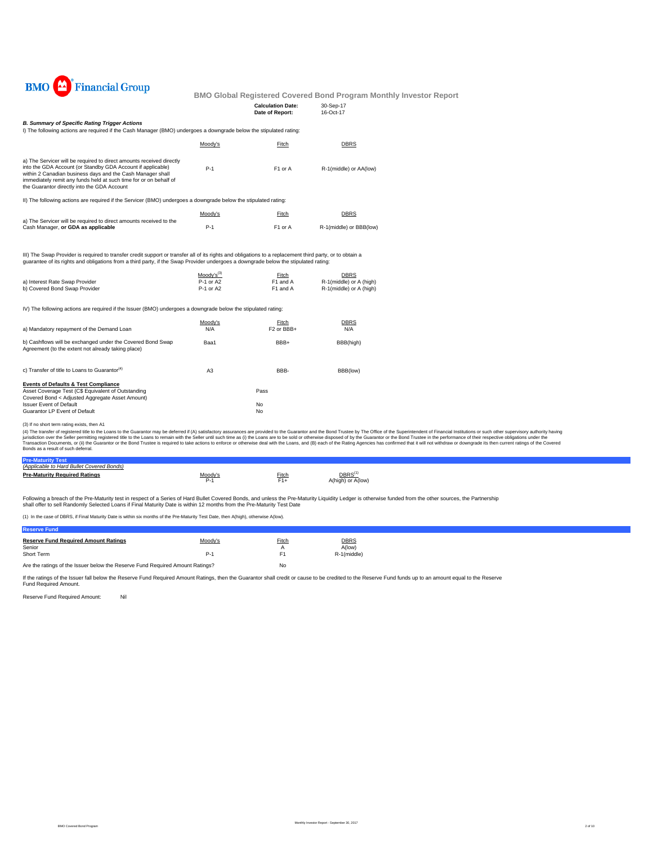

| <b>Calculation Date:</b> | 30-Sep-17 |
|--------------------------|-----------|
| Date of Report:          | 16-Oct-17 |

### *B. Summary of Specific Rating Trigger Actions*

I) The following actions are required if the Cash Manager (BMO) undergoes a downgrade below the stipulated rating:

|                                                                                                                                                                                                                                                                                                                       | Moody's | Fitch               | <b>DBRS</b>             |
|-----------------------------------------------------------------------------------------------------------------------------------------------------------------------------------------------------------------------------------------------------------------------------------------------------------------------|---------|---------------------|-------------------------|
| a) The Servicer will be required to direct amounts received directly<br>into the GDA Account (or Standby GDA Account if applicable)<br>within 2 Canadian business days and the Cash Manager shall<br>immediately remit any funds held at such time for or on behalf of<br>the Guarantor directly into the GDA Account | $P-1$   | F <sub>1</sub> or A | R-1(middle) or AA(low)  |
| II) The following actions are required if the Servicer (BMO) undergoes a downgrade below the stipulated rating:                                                                                                                                                                                                       |         |                     |                         |
|                                                                                                                                                                                                                                                                                                                       | Moody's | Fitch               | <b>DBRS</b>             |
| a) The Servicer will be required to direct amounts received to the<br>Cash Manager, or GDA as applicable                                                                                                                                                                                                              | $P-1$   | F <sub>1</sub> or A | R-1(middle) or BBB(low) |

III) The Swap Provider is required to transfer credit support or transfer all of its rights and obligations to a replacement third party, or to obtain a<br>guarantee of its rights and obligations from a third party, if the Sw

|                                | Moody's <sup>(3)</sup> | Fitch                | <b>DBRS</b>             |
|--------------------------------|------------------------|----------------------|-------------------------|
| a) Interest Rate Swap Provider | P-1 or A2              | F <sub>1</sub> and A | R-1(middle) or A (high) |
| b) Covered Bond Swap Provider  | P-1 or A2              | F <sub>1</sub> and A | R-1(middle) or A (high) |

IV) The following actions are required if the Issuer (BMO) undergoes a downgrade below the stipulated rating:

| a) Mandatory repayment of the Demand Loan                                                                        | Moodv's<br>N/A | Fitch<br>F <sub>2</sub> or BB <sub>B+</sub> | <b>DBRS</b><br>N/A |
|------------------------------------------------------------------------------------------------------------------|----------------|---------------------------------------------|--------------------|
| b) Cashflows will be exchanged under the Covered Bond Swap<br>Agreement (to the extent not already taking place) | Baa1           | BBB+                                        | BBB(high)          |
| c) Transfer of title to Loans to Guarantor <sup>(4)</sup>                                                        | A <sub>3</sub> | BBB-                                        | BBB(low)           |
| <b>Events of Defaults &amp; Test Compliance</b>                                                                  |                |                                             |                    |
| Asset Coverage Test (C\$ Equivalent of Outstanding                                                               |                | Pass                                        |                    |
| Covered Bond < Adjusted Aggregate Asset Amount)                                                                  |                |                                             |                    |
| <b>Issuer Event of Default</b>                                                                                   |                | No.                                         |                    |
| Guarantor LP Event of Default                                                                                    |                | No                                          |                    |

(3) If no short term rating exists, then A1

(4) The transfer of registered tilte to the Loans to the Guarantor may be deferred if (A) satistadoy assurances are provided to the Guarantor and the Bond Trustee by The Office of the Special orthose in the performance of

| <b>Pre-Maturity Test</b>                  |                |       |                                         |
|-------------------------------------------|----------------|-------|-----------------------------------------|
| (Applicable to Hard Bullet Covered Bonds) |                |       |                                         |
| <b>Pre-Maturity Required Ratings</b>      | <u>Moody's</u> | Fitch | DBRS <sup>(*</sup><br>A(high) or A(low) |

Following a breach of the Pre-Maturity test in respect of a Series of Hard Bullet Covered Bonds, and unless the Pre-Maturity Liquidity Ledger is otherwise funded from the other sources, the Partnership<br>shall offer to sell

(1) In the case of DBRS, if Final Maturity Date is within six months of the Pre-Maturity Test Date, then A(high), otherwise A(low).

| <b>Reserve Fund</b>                                                           |         |       |                       |  |
|-------------------------------------------------------------------------------|---------|-------|-----------------------|--|
| <b>Reserve Fund Required Amount Ratings</b><br>Senior                         | Moody's | Fitch | <b>DBRS</b><br>A(low) |  |
| Short Term                                                                    | P.      |       | R-1(middle)           |  |
| Are the ratings of the Issuer below the Reserve Fund Required Amount Ratings? |         | No    |                       |  |

If the ratings of the Issuer fall below the Reserve Fund Required Amount Ratings, then the Guarantor shall credit or cause to be credited to the Reserve Fund funds up to an amount equal to the Reserve Fund Required Amount.

Reserve Fund Required Amount: Nil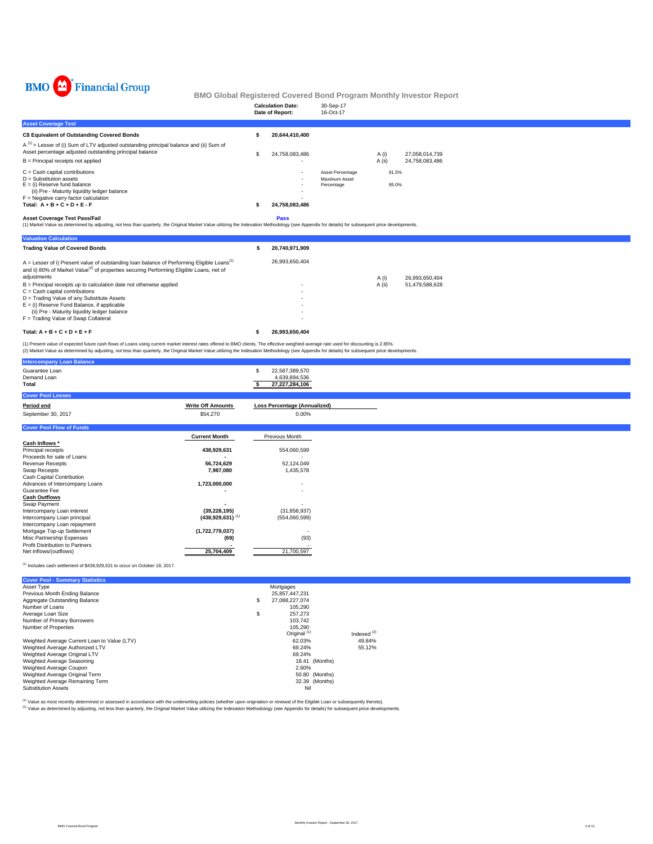

|                                                                                                                                                                                                                                            | <b>Calculation Date:</b><br>Date of Report: | 30-Sep-17<br>16-Oct-17                          |                |                |  |  |
|--------------------------------------------------------------------------------------------------------------------------------------------------------------------------------------------------------------------------------------------|---------------------------------------------|-------------------------------------------------|----------------|----------------|--|--|
| <b>Asset Coverage Test</b>                                                                                                                                                                                                                 |                                             |                                                 |                |                |  |  |
| C\$ Equivalent of Outstanding Covered Bonds                                                                                                                                                                                                | 20,644,410,400                              |                                                 |                |                |  |  |
| $A^{(1)}$ = Lesser of (i) Sum of LTV adjusted outstanding principal balance and (ii) Sum of<br>Asset percentage adjusted outstanding principal balance                                                                                     | 24,758,083,486                              |                                                 | A (i)          | 27.058.014.739 |  |  |
| B = Principal receipts not applied                                                                                                                                                                                                         |                                             |                                                 | A (ii)         | 24,758,083,486 |  |  |
| $C = Cash$ capital contributions<br>$D =$ Substitution assets<br>$E =$ (i) Reserve fund balance<br>(ii) Pre - Maturity liquidity ledger balance<br>$F =$ Negative carry factor calculation<br>Total: $A + B + C + D + E - F$               | $\sim$<br>24,758,083,486                    | Asset Percentage<br>Maximum Asset<br>Percentage | 91.5%<br>95.0% |                |  |  |
| <b>Asset Coverage Test Pass/Fail</b><br>(1) Market Value as determined by adjusting, not less than quarterly, the Original Market Value utilizing the Indexation Methodology (see Appendix for details) for subsequent price developments. | Pass                                        |                                                 |                |                |  |  |
| <b>Valuation Calculation</b>                                                                                                                                                                                                               |                                             |                                                 |                |                |  |  |

| <b>Trading Value of Covered Bonds</b>                                                                                                                                                                                        | ж | 20.740.971.909 |        |                |
|------------------------------------------------------------------------------------------------------------------------------------------------------------------------------------------------------------------------------|---|----------------|--------|----------------|
| A = Lesser of i) Present value of outstanding loan balance of Performing Eligible Loans <sup>(1)</sup><br>and ii) 80% of Market Value <sup>(2)</sup> of properties securing Performing Eligible Loans, net of<br>adjustments |   | 26.993.650.404 | A (i)  | 26.993.650.404 |
| B = Principal receipts up to calculation date not otherwise applied<br>$C =$ Cash capital contributions                                                                                                                      |   |                | A (ii) | 51.479.588.628 |
| D = Trading Value of any Substitute Assets                                                                                                                                                                                   |   |                |        |                |
| $E =$ (i) Reserve Fund Balance, if applicable                                                                                                                                                                                |   |                |        |                |
| (ii) Pre - Maturity liquidity ledger balance<br>F = Trading Value of Swap Collateral                                                                                                                                         |   |                |        |                |
|                                                                                                                                                                                                                              |   |                |        |                |
| Total: $A + B + C + D + E + F$                                                                                                                                                                                               |   | 26.993.650.404 |        |                |

(1) Present value of expected future cash flows of Loans using current market interest rates offered to BMO clients. The effective weighted average rate used for discounting is 2.85%.<br>(2) Market Value as determined by adju

|                          | S<br>22,587,389,570                                                                                                                                      |
|--------------------------|----------------------------------------------------------------------------------------------------------------------------------------------------------|
|                          | 4,639,894,536                                                                                                                                            |
|                          | 27,227,284,106                                                                                                                                           |
|                          |                                                                                                                                                          |
|                          |                                                                                                                                                          |
| <b>Write Off Amounts</b> | <b>Loss Percentage (Annualized)</b>                                                                                                                      |
|                          | 0.00%                                                                                                                                                    |
|                          |                                                                                                                                                          |
|                          |                                                                                                                                                          |
|                          |                                                                                                                                                          |
|                          | Previous Month                                                                                                                                           |
|                          |                                                                                                                                                          |
|                          | 554,060,599                                                                                                                                              |
|                          |                                                                                                                                                          |
|                          | 52,124,049                                                                                                                                               |
|                          | 1,435,578                                                                                                                                                |
|                          |                                                                                                                                                          |
|                          | $\sim$                                                                                                                                                   |
|                          | $\overline{\phantom{a}}$                                                                                                                                 |
|                          |                                                                                                                                                          |
|                          |                                                                                                                                                          |
| (39, 228, 195)           | (31, 858, 937)                                                                                                                                           |
|                          | (554,060,599)                                                                                                                                            |
|                          |                                                                                                                                                          |
|                          | ٠                                                                                                                                                        |
|                          | (93)                                                                                                                                                     |
|                          |                                                                                                                                                          |
| 25,704,409               | 21,700,597                                                                                                                                               |
|                          | \$54,270<br><b>Current Month</b><br>438,929,631<br>56,724,629<br>7,987,080<br>1,723,000,000<br>$(438,929,631)$ <sup>(1)</sup><br>(1,722,779,037)<br>(69) |

 $<sup>(1)</sup>$  Includes cash settlement of \$438,929,631 to occur on October 18, 2017.</sup>

|                 | <b>Cover Pool - Summary Statistics</b>       |    |                         |               |  |
|-----------------|----------------------------------------------|----|-------------------------|---------------|--|
| Asset Type      |                                              |    | Mortgages               |               |  |
|                 | Previous Month Ending Balance                |    | 25.857.447.231          |               |  |
|                 | Aggregate Outstanding Balance                | \$ | 27,088,227,074          |               |  |
| Number of Loans |                                              |    | 105.290                 |               |  |
|                 | Average Loan Size                            | \$ | 257.273                 |               |  |
|                 | Number of Primary Borrowers                  |    | 103.742                 |               |  |
|                 | Number of Properties                         |    | 105.290                 |               |  |
|                 |                                              |    | Original <sup>(1)</sup> | Indexed $(2)$ |  |
|                 | Weighted Average Current Loan to Value (LTV) |    | 62.03%                  | 49.84%        |  |
|                 | Weighted Average Authorized LTV              |    | 69.24%                  | 55.12%        |  |
|                 | Weighted Average Original LTV                |    | 69.24%                  |               |  |
|                 | Weighted Average Seasoning                   |    | 18.41 (Months)          |               |  |
|                 | Weighted Average Coupon                      |    | 2.60%                   |               |  |
|                 | Weighted Average Original Term               |    | 50.80 (Months)          |               |  |
|                 | Weighted Average Remaining Term              |    | 32.39 (Months)          |               |  |
|                 | <b>Substitution Assets</b>                   |    | Nil                     |               |  |
|                 |                                              |    |                         |               |  |

<sup>(t)</sup> Value as most recently determined or assessed in accordance with the underwriting policies (whether upon origination or renewal of the Eligible Loan or subsequently thereto).<br><sup>(2)</sup> Value as determined by adjusting, n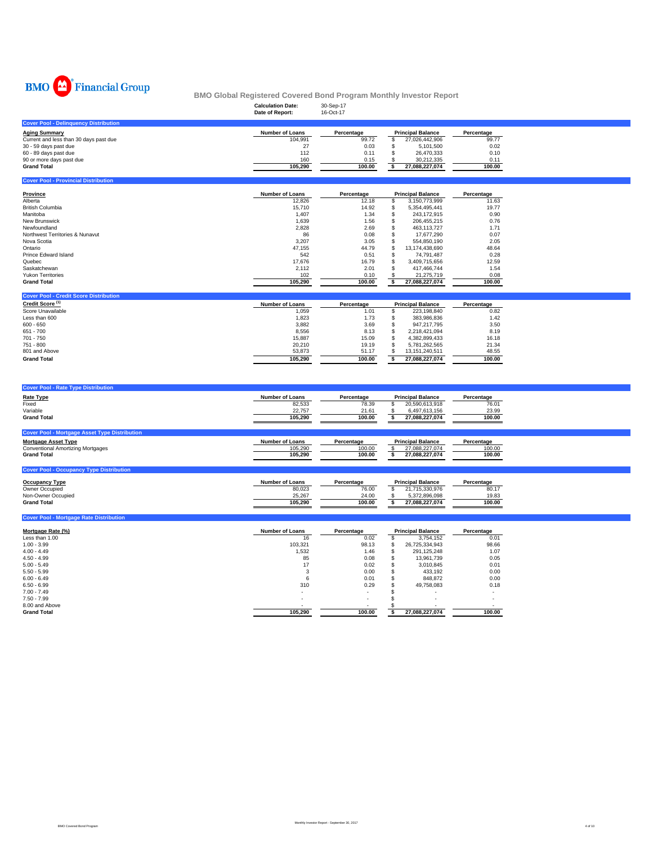

|                                              | <b>Calculation Date:</b><br>Date of Report: | -<br>30-Sep-17<br>16-Oct-17 |                          |            |
|----------------------------------------------|---------------------------------------------|-----------------------------|--------------------------|------------|
| <b>Cover Pool - Delinquency Distribution</b> |                                             |                             |                          |            |
| <b>Aging Summary</b>                         | <b>Number of Loans</b>                      | Percentage                  | <b>Principal Balance</b> | Percentage |
| Current and less than 30 days past due       | 104.991                                     | 99.72                       | 27.026.442.906           | 99.77      |
| 30 - 59 days past due                        | 27                                          | 0.03                        | 5.101.500                | 0.02       |
| 60 - 89 days past due                        | 112                                         | 0.11                        | 26.470.333               | 0.10       |
| 90 or more days past due                     | 160                                         | 0.15                        | 30.212.335               | 0.11       |
| <b>Grand Total</b>                           | 105.290                                     | 100.00                      | 27.088.227.074           | 100.00     |
|                                              |                                             |                             |                          |            |

| <b>Cover Pool - Provincial Distribution</b> |                        |            |   |                          |            |
|---------------------------------------------|------------------------|------------|---|--------------------------|------------|
| Province                                    | <b>Number of Loans</b> | Percentage |   | <b>Principal Balance</b> | Percentage |
| Alberta                                     | 12.826                 | 12.18      |   | 3.150.773.999            | 11.63      |
| <b>British Columbia</b>                     | 15,710                 | 14.92      | ъ | 5.354.495.441            | 19.77      |
| Manitoba                                    | 1.407                  | 1.34       | ъ | 243.172.915              | 0.90       |
| <b>New Brunswick</b>                        | 1,639                  | 1.56       |   | 206.455.215              | 0.76       |
| Newfoundland                                | 2,828                  | 2.69       |   | 463.113.727              | 1.71       |
| Northwest Territories & Nunavut             | 86                     | 0.08       |   | 17.677.290               | 0.07       |
| Nova Scotia                                 | 3,207                  | 3.05       |   | 554.850.190              | 2.05       |
| Ontario                                     | 47,155                 | 44.79      |   | 13,174,438,690           | 48.64      |
| Prince Edward Island                        | 542                    | 0.51       | ъ | 74.791.487               | 0.28       |
| Quebec                                      | 17.676                 | 16.79      |   | 3.409.715.656            | 12.59      |
| Saskatchewan                                | 2.112                  | 2.01       |   | 417.466.744              | 1.54       |
| <b>Yukon Territories</b>                    | 102                    | 0.10       |   | 21.275.719               | 0.08       |
| <b>Grand Total</b>                          | 105.290                | 100.00     |   | 27.088.227.074           | 100.00     |

| <b>Cover Pool - Credit Score Distribution</b> |                        |            |                          |                |            |
|-----------------------------------------------|------------------------|------------|--------------------------|----------------|------------|
| Credit Score <sup>(1)</sup>                   | <b>Number of Loans</b> | Percentage | <b>Principal Balance</b> |                | Percentage |
| Score Unavailable                             | 1,059                  | 1.01       |                          | 223.198.840    | 0.82       |
| Less than 600                                 | 1.823                  | 1.73       |                          | 383.986.836    | 1.42       |
| $600 - 650$                                   | 3.882                  | 3.69       |                          | 947.217.795    | 3.50       |
| 651 - 700                                     | 8.556                  | 8.13       |                          | 2.218.421.094  | 8.19       |
| 701 - 750                                     | 15.887                 | 15.09      |                          | 4.382.899.433  | 16.18      |
| 751 - 800                                     | 20,210                 | 19.19      |                          | 5.781.262.565  | 21.34      |
| 801 and Above                                 | 53,873                 | 51.17      |                          | 13.151.240.511 | 48.55      |
| <b>Grand Total</b>                            | 105.290                | 100.00     |                          | 27.088.227.074 | 100.00     |

| <b>Cover Pool - Rate Type Distribution</b>           |                        |            |                          |            |
|------------------------------------------------------|------------------------|------------|--------------------------|------------|
| <b>Rate Type</b>                                     | <b>Number of Loans</b> | Percentage | <b>Principal Balance</b> | Percentage |
| Fixed                                                | 82,533                 | 78.39      | 20,590,613,918           | 76.01      |
| Variable                                             | 22.757                 | 21.61      | 6.497.613.156            | 23.99      |
| <b>Grand Total</b>                                   | 105.290                | 100.00     | 27,088,227,074           | 100.00     |
|                                                      |                        |            |                          |            |
| <b>Cover Pool - Mortgage Asset Type Distribution</b> |                        |            |                          |            |
| <b>Mortgage Asset Type</b>                           | <b>Number of Loans</b> | Percentage | <b>Principal Balance</b> | Percentage |
| <b>Conventional Amortizing Mortgages</b>             | 105.290                | 100.00     | 27.088.227.074           | 100.00     |
| <b>Grand Total</b>                                   | 105.290                | 100.00     | 27,088,227,074           | 100.00     |
|                                                      |                        |            |                          |            |
| <b>Cover Pool - Occupancy Type Distribution</b>      |                        |            |                          |            |

| <b>Occupancy Type</b> | <b>Number of Loans</b> | Percentage | <b>Principal Balance</b> | Percentage |
|-----------------------|------------------------|------------|--------------------------|------------|
| Owner Occupied        | 80,023                 | 76.00      | 21.715.330.976           | 80.1       |
| Non-Owner Occupied    | 25.267                 | 24.00      | 5.372.896.098            | 19.83      |
| <b>Grand Total</b>    | 105.290                | 100.00     | 27.088.227.074           | 100.00     |

| Mortgage Rate (%)  | <b>Number of Loans</b> | Percentage | <b>Principal Balance</b> |                | Percentage |
|--------------------|------------------------|------------|--------------------------|----------------|------------|
| Less than 1.00     | 16                     | 0.02       |                          | 3.754.152      | 0.01       |
| $1.00 - 3.99$      | 103,321                | 98.13      | S                        | 26,725,334,943 | 98.66      |
| $4.00 - 4.49$      | 1,532                  | 1.46       |                          | 291.125.248    | 1.07       |
| $4.50 - 4.99$      | 85                     | 0.08       |                          | 13,961,739     | 0.05       |
| $5.00 - 5.49$      | 17                     | 0.02       |                          | 3,010,845      | 0.01       |
| $5.50 - 5.99$      |                        | 0.00       |                          | 433.192        | 0.00       |
| $6.00 - 6.49$      | 6                      | 0.01       |                          | 848,872        | 0.00       |
| $6.50 - 6.99$      | 310                    | 0.29       |                          | 49.758.083     | 0.18       |
| $7.00 - 7.49$      |                        |            |                          |                |            |
| $7.50 - 7.99$      | ۰                      | $\sim$     |                          |                |            |
| 8.00 and Above     |                        |            |                          |                |            |
| <b>Grand Total</b> | 105,290                | 100.00     |                          | 27,088,227,074 | 100.00     |

**Pool - Mortgage Rate Distribution**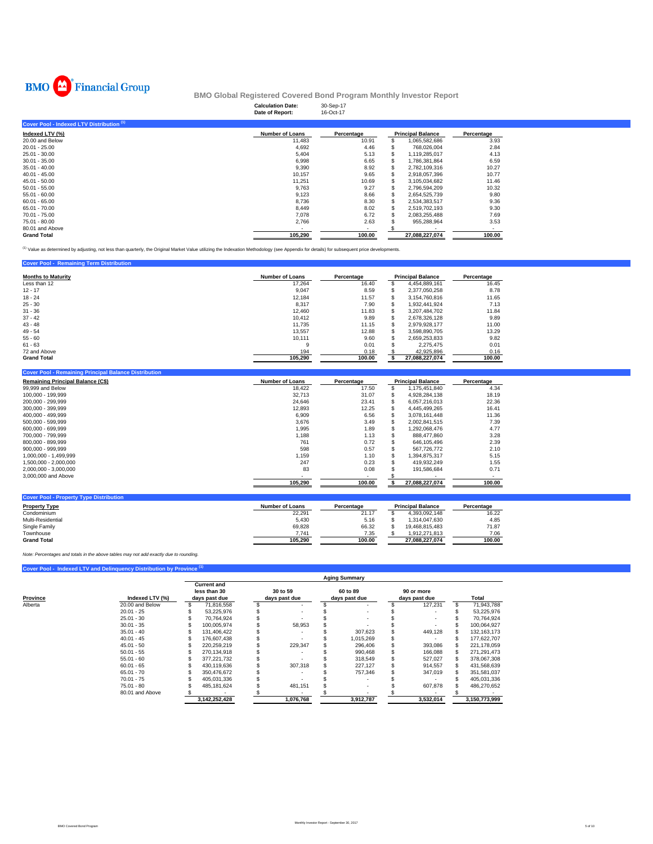

|                                           | -<br><b>Calculation Date:</b><br>Date of Report: | 30-Sep-17<br>16-Oct-17 |    |                          |            |
|-------------------------------------------|--------------------------------------------------|------------------------|----|--------------------------|------------|
| Cover Pool - Indexed LTV Distribution (1) |                                                  |                        |    |                          |            |
| Indexed LTV (%)                           | Number of Loans                                  | Percentage             |    | <b>Principal Balance</b> | Percentage |
| 20.00 and Below                           | 11,483                                           | 10.91                  |    | 1,065,582,686            | 3.93       |
| $20.01 - 25.00$                           | 4,692                                            | 4.46                   |    | 768,026,004              | 2.84       |
| 25.01 - 30.00                             | 5,404                                            | 5.13                   |    | 1,119,285,017            | 4.13       |
| $30.01 - 35.00$                           | 6,998                                            | 6.65                   |    | 1,786,381,864            | 6.59       |
| $35.01 - 40.00$                           | 9,390                                            | 8.92                   |    | 2,782,109,316            | 10.27      |
| $40.01 - 45.00$                           | 10,157                                           | 9.65                   |    | 2,918,057,396            | 10.77      |
| 45.01 - 50.00                             | 11,251                                           | 10.69                  | \$ | 3,105,034,682            | 11.46      |
| $50.01 - 55.00$                           | 9.763                                            | 9.27                   | ж  | 2,796,594,209            | 10.32      |
| $55.01 - 60.00$                           | 9,123                                            | 8.66                   |    | 2,654,525,739            | 9.80       |
| $60.01 - 65.00$                           | 8,736                                            | 8.30                   |    | 2,534,383,517            | 9.36       |
| 65.01 - 70.00                             | 8,449                                            | 8.02                   |    | 2,519,702,193            | 9.30       |
| 70.01 - 75.00                             | 7,078                                            | 6.72                   |    | 2,083,255,488            | 7.69       |
| 75.01 - 80.00                             | 2,766                                            | 2.63                   |    | 955,288,964              | 3.53       |
| 80.01 and Above                           |                                                  | $\sim$                 |    |                          |            |
| <b>Grand Total</b>                        | 105,290                                          | 100.00                 |    | 27,088,227,074           | 100.00     |

(1) Value as determined by adjusting, not less than quarterly, the Original Market Value utilizing the Indexation Methodology (see Appendix for details) for subsequent price developments.

| <b>Cover Pool - Remaining Term Distribution</b> |                        |            |   |                          |            |
|-------------------------------------------------|------------------------|------------|---|--------------------------|------------|
| <b>Months to Maturity</b>                       | <b>Number of Loans</b> | Percentage |   | <b>Principal Balance</b> | Percentage |
| Less than 12                                    | 17.264                 | 16.40      | S | 4.454.889.161            | 16.45      |
| $12 - 17$                                       | 9,047                  | 8.59       | S | 2.377.050.258            | 8.78       |
| $18 - 24$                                       | 12.184                 | 11.57      |   | 3.154.760.816            | 11.65      |
| $25 - 30$                                       | 8,317                  | 7.90       | S | 1.932.441.924            | 7.13       |
| $31 - 36$                                       | 12.460                 | 11.83      |   | 3.207.484.702            | 11.84      |
| $37 - 42$                                       | 10.412                 | 9.89       | S | 2.678.326.128            | 9.89       |
| $43 - 48$                                       | 11.735                 | 11.15      | S | 2.979.928.177            | 11.00      |
| $49 - 54$                                       | 13.557                 | 12.88      |   | 3.598.890.705            | 13.29      |
| $55 - 60$                                       | 10.111                 | 9.60       |   | 2.659.253.833            | 9.82       |
| $61 - 63$                                       | 9                      | 0.01       |   | 2.275.475                | 0.01       |
| 72 and Above                                    | 194                    | 0.18       |   | 42.925.896               | 0.16       |
| <b>Grand Total</b>                              | 105.290                | 100.00     |   | 27.088.227.074           | 100.00     |

| <b>Number of Loans</b> | Percentage |  |                | Percentage               |  |
|------------------------|------------|--|----------------|--------------------------|--|
| 18,422                 | 17.50      |  | 1,175,451,840  | 4.34                     |  |
| 32.713                 | 31.07      |  | 4.928.284.138  | 18.19                    |  |
| 24.646                 | 23.41      |  | 6.057.216.013  | 22.36                    |  |
| 12,893                 | 12.25      |  | 4.445.499.265  | 16.41                    |  |
| 6,909                  | 6.56       |  | 3.078.161.448  | 11.36                    |  |
| 3,676                  | 3.49       |  | 2.002.841.515  | 7.39                     |  |
| 1,995                  | 1.89       |  | 1,292,068,476  | 4.77                     |  |
| 1.188                  | 1.13       |  | 888.477.860    | 3.28                     |  |
| 761                    | 0.72       |  | 646.105.496    | 2.39                     |  |
| 598                    | 0.57       |  | 567.726.772    | 2.10                     |  |
| 1.159                  | 1.10       |  | 1.394.875.317  | 5.15                     |  |
| 247                    | 0.23       |  | 419.932.249    | 1.55                     |  |
| 83                     | 0.08       |  | 191.586.684    | 0.71                     |  |
|                        |            |  |                |                          |  |
| 105,290                | 100.00     |  | 27.088.227.074 | 100.00                   |  |
|                        |            |  |                | <b>Principal Balance</b> |  |

| <b>Number of Loans</b> | Percentage |                | Percentage               |
|------------------------|------------|----------------|--------------------------|
| 22.291                 | 21.17      | 4.393.092.148  | 16.22                    |
| 5.430                  | 5.16       | 1.314.047.630  | 4.85                     |
| 69.828                 | 66.32      | 19.468.815.483 | 71.87                    |
| 7.741                  | 7.35       | 1.912.271.813  | 7.06                     |
| 105.290                | 100.00     | 27.088.227.074 | 100.00                   |
|                        |            |                | <b>Principal Balance</b> |

*Note: Percentages and totals in the above tables may not add exactly due to rounding.*

### **Cover Pool - Indexed LTV and Delinquency Distribution by Province (1)**

|          | <b>Aging Summary</b> |  |                                                     |  |                           |  |                           |  |                             |  |               |
|----------|----------------------|--|-----------------------------------------------------|--|---------------------------|--|---------------------------|--|-----------------------------|--|---------------|
| Province | Indexed LTV (%)      |  | <b>Current and</b><br>less than 30<br>days past due |  | 30 to 59<br>days past due |  | 60 to 89<br>days past due |  | 90 or more<br>days past due |  | Total         |
| Alberta  | 20.00 and Below      |  | 71.816.558                                          |  |                           |  |                           |  | 127.231                     |  | 71.943.788    |
|          | $20.01 - 25$         |  | 53.225.976                                          |  |                           |  |                           |  |                             |  | 53,225,976    |
|          | $25.01 - 30$         |  | 70.764.924                                          |  |                           |  |                           |  |                             |  | 70.764.924    |
|          | $30.01 - 35$         |  | 100.005.974                                         |  | 58,953                    |  |                           |  |                             |  | 100.064.927   |
|          | $35.01 - 40$         |  | 131.406.422                                         |  |                           |  | 307.623                   |  | 449,128                     |  | 132.163.173   |
|          | $40.01 - 45$         |  | 176,607,438                                         |  |                           |  | 1.015.269                 |  |                             |  | 177.622.707   |
|          | $45.01 - 50$         |  | 220.259.219                                         |  | 229.347                   |  | 296,406                   |  | 393.086                     |  | 221.178.059   |
|          | $50.01 - 55$         |  | 270.134.918                                         |  |                           |  | 990.468                   |  | 166,088                     |  | 271,291,473   |
|          | $55.01 - 60$         |  | 377.221.732                                         |  |                           |  | 318,549                   |  | 527,027                     |  | 378,067,308   |
|          | $60.01 - 65$         |  | 430.119.636                                         |  | 307.318                   |  | 227.127                   |  | 914,557                     |  | 431,568,639   |
|          | $65.01 - 70$         |  | 350.476.672                                         |  |                           |  | 757.346                   |  | 347,019                     |  | 351,581,037   |
|          | $70.01 - 75$         |  | 405.031.336                                         |  |                           |  |                           |  |                             |  | 405,031,336   |
|          | $75.01 - 80$         |  | 485, 181, 624                                       |  | 481,151                   |  |                           |  | 607,878                     |  | 486,270,652   |
|          | 80.01 and Above      |  |                                                     |  |                           |  |                           |  |                             |  |               |
|          |                      |  | 3,142,252,428                                       |  | 1.076.768                 |  | 3,912,787                 |  | 3.532.014                   |  | 3.150.773.999 |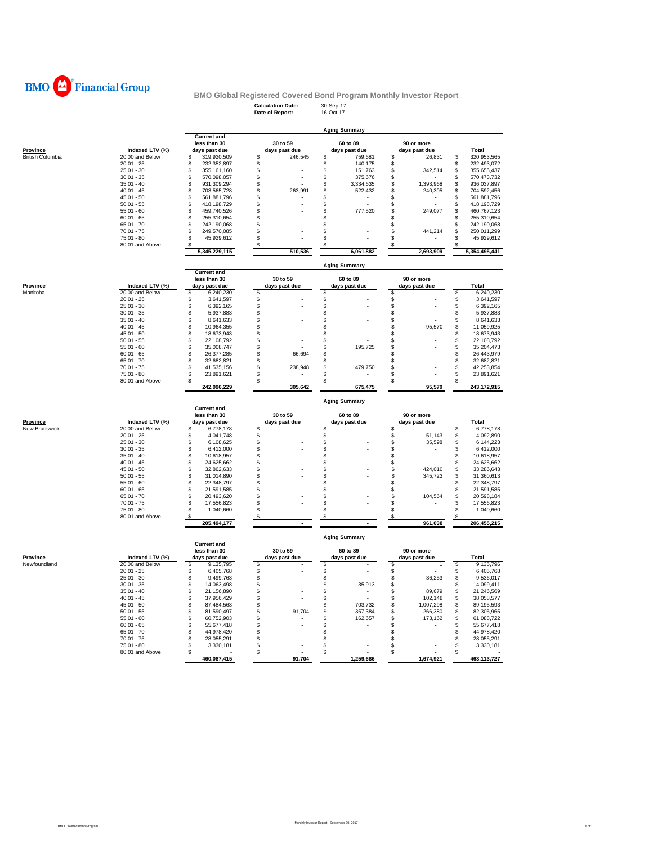

## **Calculation Date:** 30-Sep-17 **Date of Report:** 16-Oct-17 **BMO Global Registered Covered Bond Program Monthly Investor Report**

| Report: |  |  |
|---------|--|--|
|         |  |  |

|                             |                              | <b>Aging Summary</b>                   |                     |                                |                                  |          |                            |
|-----------------------------|------------------------------|----------------------------------------|---------------------|--------------------------------|----------------------------------|----------|----------------------------|
|                             |                              | <b>Current and</b><br>less than 30     | 30 to 59            | 60 to 89                       | 90 or more                       |          |                            |
| <b>Province</b>             | Indexed LTV (%)              | days past due                          | days past due       | days past due                  | days past due                    |          | Total                      |
| British Columbia            | 20.00 and Below              | \$<br>319,920,509                      | \$<br>246,545       | \$<br>759,681                  | \$<br>26,831                     | \$       | 320,953,565                |
|                             | $20.01 - 25$                 | S<br>232,352,897                       | \$                  | \$<br>140,175                  | \$                               | S        | 232,493,072                |
|                             | $25.01 - 30$                 | \$<br>355,161,160                      | \$                  | \$<br>151,763                  | $\mathsf{\$}$<br>342,514         | \$       | 355,655,437                |
|                             | $30.01 - 35$                 | \$<br>570,098,057                      | \$                  | S<br>375,676                   | \$                               | \$       | 570,473,732                |
|                             | $35.01 - 40$                 | \$<br>931,309,294                      | \$                  | \$<br>3,334,635                | \$<br>1,393,968                  | \$       | 936,037,897                |
|                             | $40.01 - 45$                 | \$<br>703,565,728                      | \$<br>263,991       | \$<br>522,432                  | \$<br>240,305                    | \$       | 704,592,456                |
|                             | $45.01 - 50$<br>$50.01 - 55$ | \$<br>561,881,796<br>\$<br>418,198,729 | \$<br>\$            | \$<br>\$                       | \$<br>\$                         | S<br>\$  | 561,881,796<br>418,198,729 |
|                             | $55.01 - 60$                 | \$<br>459,740,526                      | \$                  | \$<br>777,520                  | \$<br>249,077                    | \$       | 460,767,123                |
|                             | $60.01 - 65$                 | \$<br>255,310,654                      | \$                  | \$                             | \$                               | \$       | 255,310,654                |
|                             | $65.01 - 70$                 | \$<br>242,190,068                      | \$                  | \$                             | \$                               | \$       | 242,190,068                |
|                             | $70.01 - 75$                 | 249,570,085<br>\$                      | \$                  | \$                             | \$<br>441,214                    | \$       | 250,011,299                |
|                             | $75.01 - 80$                 | \$<br>45,929,612                       | \$                  | \$                             | \$                               | \$       | 45,929,612                 |
|                             | 80.01 and Above              | \$                                     | S                   | \$                             | \$                               | S        |                            |
|                             |                              | 5,345,229,115                          | 510.536             | 6.061.882                      | 2,693,909                        |          | 5,354,495,441              |
|                             |                              |                                        |                     | <b>Aging Summary</b>           |                                  |          |                            |
|                             |                              | <b>Current and</b>                     |                     |                                |                                  |          |                            |
|                             | Indexed LTV (%)              | less than 30                           | 30 to 59            | 60 to 89                       | 90 or more                       |          | Total                      |
| <b>Province</b><br>Manitoba | 20.00 and Below              | days past due<br>6,240,230<br>\$       | days past due<br>\$ | days past due<br>\$            | days past due<br>\$              | \$       | 6,240,230                  |
|                             | $20.01 - 25$                 | \$<br>3,641,597                        | \$                  | \$                             | \$                               | \$       | 3,641,597                  |
|                             | $25.01 - 30$                 | \$<br>6,392,165                        | \$                  | \$                             | \$                               | \$       | 6,392,165                  |
|                             | $30.01 - 35$                 | \$<br>5,937,883                        | \$                  | \$                             | \$                               | \$       | 5,937,883                  |
|                             | $35.01 - 40$                 | \$<br>8,641,633                        | \$                  | \$                             | \$                               | \$       | 8,641,633                  |
|                             | $40.01 - 45$                 | \$<br>10,964,355                       | \$                  | \$                             | \$<br>95,570                     | \$       | 11,059,925                 |
|                             | $45.01 - 50$                 | \$<br>18,673,943                       | \$                  | \$                             | \$                               | \$       | 18,673,943                 |
|                             | $50.01 - 55$                 | \$<br>22,108,792                       | \$                  | \$                             | \$                               | \$       | 22,108,792                 |
|                             | $55.01 - 60$                 | \$<br>35,008,747                       | \$                  | \$<br>195,725                  | \$                               | \$       | 35,204,473                 |
|                             | $60.01 - 65$                 | \$<br>26,377,285                       | \$<br>66,694        | \$                             | \$                               | \$       | 26,443,979                 |
|                             | $65.01 - 70$                 | \$<br>32,682,821                       | \$                  | \$                             | \$                               | \$       | 32,682,821                 |
|                             | $70.01 - 75$                 | \$<br>41,535,156                       | 238,948<br>\$       | \$<br>479,750                  | \$                               | \$       | 42,253,854                 |
|                             | 75.01 - 80                   | \$<br>23,891,621                       | \$                  | \$                             | \$                               | \$       | 23,891,621                 |
|                             | 80.01 and Above              | S<br>242,096,229                       | \$<br>305,642       | 675,475                        | \$<br>95,570                     | S        | 243,172,915                |
|                             |                              |                                        |                     |                                |                                  |          |                            |
|                             |                              |                                        |                     |                                |                                  |          |                            |
|                             |                              |                                        |                     | <b>Aging Summary</b>           |                                  |          |                            |
|                             |                              | <b>Current and</b>                     |                     |                                |                                  |          |                            |
|                             |                              | less than 30                           | 30 to 59            | 60 to 89                       | 90 or more                       |          |                            |
| Province                    | Indexed LTV (%)              | days past due                          | days past due       | days past due                  | days past due                    |          | Total                      |
| <b>New Brunswick</b>        | 20.00 and Below              | \$<br>6,778,178                        | \$                  | \$                             | \$                               | \$       | 6,778,178                  |
|                             | $20.01 - 25$<br>$25.01 - 30$ | \$<br>4,041,748<br>\$<br>6,108,625     | \$<br>\$            | \$<br>\$                       | \$<br>51,143<br>\$<br>35,598     | \$<br>\$ | 4,092,890<br>6,144,223     |
|                             | $30.01 - 35$                 | \$<br>6,412,000                        | \$                  | \$                             | \$                               | \$       | 6,412,000                  |
|                             | $35.01 - 40$                 | \$<br>10,618,957                       | \$                  | \$                             | \$                               | \$       | 10,618,957                 |
|                             | $40.01 - 45$                 | \$<br>24,625,662                       | \$                  | \$                             | \$                               | \$       | 24,625,662                 |
|                             | $45.01 - 50$                 | \$<br>32,862,633                       | \$                  | \$                             | \$<br>424,010                    | \$       | 33,286,643                 |
|                             | $50.01 - 55$                 | \$<br>31,014,890                       | \$                  | \$                             | \$<br>345,723                    | \$       | 31,360,613                 |
|                             | $55.01 - 60$                 | \$<br>22,348,797                       | \$                  | \$                             | \$                               | \$       | 22,348,797                 |
|                             | $60.01 - 65$                 | \$<br>21,591,585                       | \$                  | \$                             | \$                               | \$       | 21,591,585                 |
|                             | $65.01 - 70$                 | \$<br>20,493,620                       | \$                  | \$.                            | \$<br>104,564                    | \$       | 20,598,184                 |
|                             | $70.01 - 75$                 | \$<br>17,556,823                       | \$                  | \$                             | \$                               | \$       | 17,556,823                 |
|                             | $75.01 - 80$                 | 1,040,660<br>\$.<br>\$                 | \$<br>S             | \$<br>\$                       | \$<br>\$                         | \$       | 1,040,660                  |
|                             | 80.01 and Above              | 205,494,177                            |                     |                                | 961,038                          |          | 206,455,215                |
|                             |                              |                                        |                     |                                |                                  |          |                            |
|                             |                              | <b>Current and</b>                     |                     | <b>Aging Summary</b>           |                                  |          |                            |
|                             |                              | less than 30                           | 30 to 59            | 60 to 89                       | 90 or more                       |          |                            |
| <b>Province</b>             | Indexed LTV (%)              | days past due                          | days past due       | days past due                  | days past due                    |          | Total                      |
| Newfoundland                | 20.00 and Below              | \$<br>9,135,795                        | \$                  | \$                             | \$<br>1                          | \$       | 9,135,796                  |
|                             | $20.01 - 25$                 | \$<br>6,405,768                        | \$                  | \$                             | \$                               | \$       | 6,405,768                  |
|                             | $25.01 - 30$                 | \$<br>9,499,763                        | \$                  | \$<br>J.                       | \$<br>36,253                     | \$       | 9,536,017                  |
|                             | $30.01 - 35$                 | \$<br>14,063,498                       | \$                  | \$<br>35,913                   | \$                               | \$       | 14,099,411                 |
|                             | $35.01 - 40$                 | \$<br>21,156,890                       | \$                  | \$                             | \$<br>89,679                     | \$       | 21,246,569                 |
|                             | $40.01 - 45$                 | \$<br>37,956,429                       | \$<br>\$            | \$                             | \$<br>102,148                    | \$       | 38,058,577                 |
|                             | $45.01 - 50$<br>$50.01 - 55$ | \$<br>87,484,563<br>\$<br>81,590,497   | 91,704<br>\$        | \$<br>703,732<br>\$<br>357,384 | \$<br>1,007,298<br>\$<br>266,380 | \$<br>\$ | 89,195,593<br>82,305,965   |
|                             | $55.01 - 60$                 | \$<br>60,752,903                       | \$                  | \$<br>162,657                  | \$<br>173,162                    | \$       | 61,088,722                 |
|                             | $60.01 - 65$                 | \$<br>55,677,418                       | \$                  | \$                             | \$                               | \$       | 55,677,418                 |
|                             | $65.01 - 70$                 | \$<br>44,978,420                       | \$                  | \$                             | \$                               | \$       | 44,978,420                 |
|                             | $70.01 - 75$                 | \$<br>28,055,291                       | \$                  | \$                             | \$                               | \$       | 28,055,291                 |
|                             | $75.01 - 80$                 | \$<br>3,330,181                        | \$                  | \$                             | \$                               | \$       | 3,330,181                  |
|                             | 80.01 and Above              | \$<br>460,087,415                      | \$<br>91,704        | \$<br>1,259,686                | \$<br>1,674,921                  | \$       | 463,113,727                |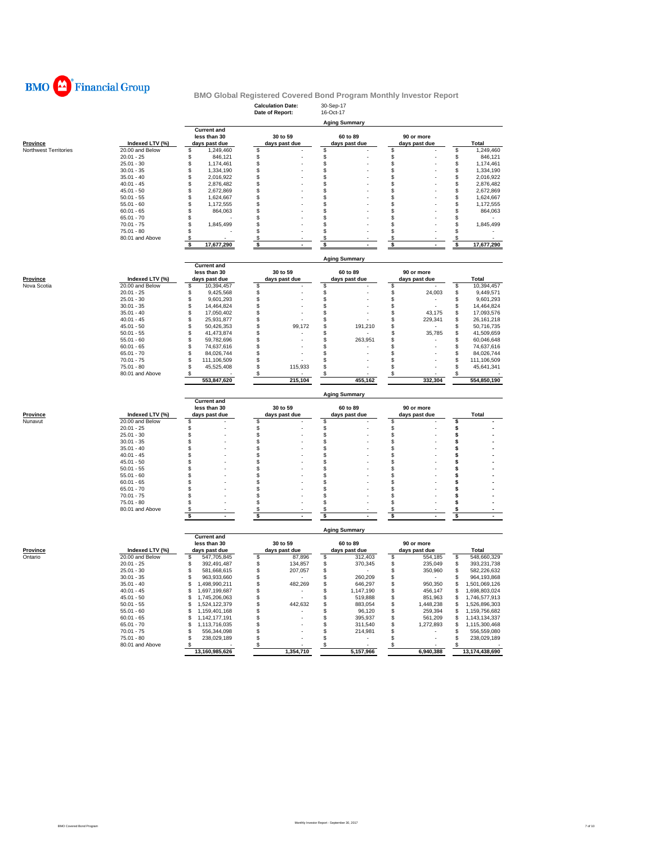

|                       |                                 |                                        | <b>Calculation Date:</b><br>Date of Report: | 30-Sep-17<br>16-Oct-17         |                             |                                        |
|-----------------------|---------------------------------|----------------------------------------|---------------------------------------------|--------------------------------|-----------------------------|----------------------------------------|
|                       |                                 |                                        |                                             | <b>Aging Summary</b>           |                             |                                        |
|                       |                                 | <b>Current and</b>                     |                                             |                                |                             |                                        |
| <b>Province</b>       | Indexed LTV (%)                 | less than 30<br>days past due          | 30 to 59<br>days past due                   | 60 to 89<br>days past due      | 90 or more<br>days past due | Total                                  |
| Northwest Territories | 20.00 and Below                 | 1,249,460<br>\$                        | S.                                          | \$                             | \$                          | \$<br>1,249,460                        |
|                       | $20.01 - 25$                    | \$<br>846,121                          | \$                                          | \$                             | \$                          | \$<br>846,121                          |
|                       | $25.01 - 30$                    | \$<br>1,174,461                        | $\,$                                        | \$                             | $\ddot{\$}$                 | \$<br>1,174,461                        |
|                       | $30.01 - 35$                    | \$<br>1,334,190                        | \$                                          | \$                             | \$                          | \$<br>1,334,190                        |
|                       | $35.01 - 40$                    | \$<br>2,016,922                        | \$                                          | \$                             | \$                          | \$<br>2,016,922                        |
|                       | $40.01 - 45$                    | \$<br>2,876,482                        | S                                           | \$                             | \$                          | \$<br>2,876,482                        |
|                       | $45.01 - 50$<br>$50.01 - 55$    | \$<br>2,672,869<br>\$<br>1,624,667     | \$<br>S                                     | \$<br>\$                       | \$<br>\$                    | \$<br>2,672,869<br>\$<br>1,624,667     |
|                       | $55.01 - 60$                    | \$<br>1,172,555                        | \$                                          | \$                             | \$                          | \$<br>1,172,555                        |
|                       | $60.01 - 65$                    | \$<br>864,063                          | \$                                          | \$                             | \$                          | \$<br>864,063                          |
|                       | $65.01 - 70$                    | \$                                     | S                                           | \$                             | \$                          | \$                                     |
|                       | $70.01 - 75$                    | \$<br>1,845,499                        | S.                                          | \$                             | \$                          | \$<br>1,845,499                        |
|                       | $75.01 - 80$                    | \$                                     | \$                                          | \$                             | \$                          | \$                                     |
|                       | 80.01 and Above                 | \$                                     | \$                                          | \$                             | \$                          | \$                                     |
|                       |                                 | \$<br>17,677,290                       | \$                                          | \$                             | \$                          | \$<br>17,677,290                       |
|                       |                                 |                                        |                                             | <b>Aging Summary</b>           |                             |                                        |
|                       |                                 | <b>Current and</b><br>less than 30     | 30 to 59                                    | 60 to 89                       | 90 or more                  |                                        |
| Province              | Indexed LTV (%)                 | days past due                          | days past due                               | days past due                  | days past due               | <b>Total</b>                           |
| Nova Scotia           | 20.00 and Below                 | \$<br>10,394,457                       | \$                                          | \$                             | \$                          | \$<br>10,394,457                       |
|                       | $20.01 - 25$                    | \$<br>9,425,568                        | \$                                          | \$                             | \$<br>24,003                | \$<br>9,449,571                        |
|                       | $25.01 - 30$                    | \$<br>9,601,293                        | \$                                          | \$                             | \$                          | \$<br>9,601,293                        |
|                       | $30.01 - 35$                    | \$<br>14,464,824                       | \$                                          | \$                             | \$                          | \$<br>14,464,824                       |
|                       | $35.01 - 40$                    | 17,050,402<br>\$                       | \$                                          | \$                             | 43,175<br>\$                | 17,093,576                             |
|                       | $40.01 - 45$                    | \$<br>25,931,877                       | \$                                          | \$                             | \$<br>229,341               | \$<br>26, 161, 218                     |
|                       | $45.01 - 50$                    | \$<br>50,426,353                       | \$<br>99,172                                | \$<br>191,210                  | \$                          | $\ddot{\$}$<br>50,716,735              |
|                       | $50.01 - 55$                    | \$<br>41,473,874                       | \$                                          | \$                             | \$<br>35,785                | \$<br>41,509,659                       |
|                       | $55.01 - 60$                    | \$<br>59,782,696                       | \$                                          | \$<br>263,951                  | \$                          | \$<br>60,046,648                       |
|                       | $60.01 - 65$                    | \$<br>74,637,616                       | S                                           | \$                             | \$                          | \$<br>74,637,616                       |
|                       | $65.01 - 70$                    | \$<br>84,026,744                       | S<br>\$                                     | \$                             | \$                          | \$<br>84,026,744                       |
|                       | $70.01 - 75$                    | \$<br>111,106,509                      | \$                                          | \$                             | \$                          | \$<br>111,106,509<br>\$                |
|                       | $75.01 - 80$<br>80.01 and Above | \$<br>45,525,408<br>\$                 | 115,933<br>\$                               | \$<br>\$                       | \$<br>\$                    | 45,641,341                             |
|                       |                                 | 553,847,620                            | 215,104                                     | 455,162                        | 332,304                     | 554,850,190                            |
|                       |                                 |                                        |                                             | <b>Aging Summary</b>           |                             |                                        |
|                       |                                 | <b>Current and</b><br>less than 30     | 30 to 59                                    | 60 to 89                       | 90 or more                  |                                        |
| <b>Province</b>       | Indexed LTV (%)                 | days past due                          | days past due                               | days past due                  | days past due               | Total                                  |
| Nunavut               | $\overline{20.00}$ and Below    | S                                      | S                                           | \$                             | \$                          | \$                                     |
|                       | $20.01 - 25$                    | \$                                     | \$                                          | \$                             | \$                          | \$                                     |
|                       | $25.01 - 30$                    | \$                                     | \$                                          | \$                             | \$                          | \$                                     |
|                       | $30.01 - 35$                    | \$                                     | $\ddot{s}$                                  | \$                             | Ś.                          | $\ddot{\bm{s}}$                        |
|                       | $35.01 - 40$                    | \$                                     | \$                                          | \$                             | \$                          | \$                                     |
|                       | $40.01 - 45$                    | \$                                     | \$                                          | \$                             | \$                          | \$                                     |
|                       | $45.01 - 50$                    | \$                                     | S<br>S                                      | \$                             | \$                          | \$                                     |
|                       | $50.01 - 55$<br>$55.01 - 60$    | \$<br>\$                               | S                                           | \$<br>\$                       | \$<br>\$                    | \$<br>\$                               |
|                       | $60.01 - 65$                    | \$                                     | \$                                          | \$                             | \$                          | \$                                     |
|                       | $65.01 - 70$                    | \$                                     | S                                           | \$                             | \$                          | \$                                     |
|                       | $70.01 - 75$                    | \$                                     | S                                           | \$                             | \$                          | \$                                     |
|                       | $75.01 - 80$                    | \$                                     | \$.                                         | \$                             | \$                          | \$                                     |
|                       | 80.01 and Above                 |                                        |                                             |                                |                             |                                        |
|                       |                                 |                                        | ॱऽ                                          | \$                             | $\overline{\mathbf{s}}$     | s                                      |
|                       |                                 |                                        |                                             | <b>Aging Summary</b>           |                             |                                        |
|                       |                                 | <b>Current and</b><br>less than 30     | 30 to 59                                    | 60 to 89                       | 90 or more                  |                                        |
| Province              | Indexed LTV (%)                 | days past due                          | days past due                               | days past due                  | days past due               | Total                                  |
| Ontario               | 20.00 and Below<br>$20.01 - 25$ | 547,705,845<br>\$<br>392,491,487<br>\$ | 87,896<br>\$<br>\$<br>134,857               | \$<br>312,403<br>370,345       | \$<br>554,185<br>235,049    | \$<br>548,660,329<br>\$<br>393,231,738 |
|                       | $25.01 - 30$                    | \$<br>581,668,615                      | \$<br>207,057                               | \$<br>\$                       | \$<br>\$<br>350,960         | \$<br>582,226,632                      |
|                       | $30.01 - 35$                    | \$<br>963,933,660                      | \$                                          | 260,209<br>\$                  | \$                          | \$<br>964,193,868                      |
|                       | $35.01 - 40$                    | \$<br>1,498,990,211                    | 482,269<br>S                                | \$<br>646,297                  | \$<br>950,350               | \$<br>1,501,069,126                    |
|                       | $40.01 - 45$                    | \$<br>1,697,199,687                    | S                                           | \$<br>1,147,190                | \$<br>456,147               | \$<br>1,698,803,024                    |
|                       | $45.01 - 50$                    | \$<br>1,745,206,063                    | \$                                          | \$<br>519,888                  | \$<br>851,963               | \$.<br>1,746,577,913                   |
|                       | $50.01 - 55$                    | \$<br>1,524,122,379                    | 442,632<br>S                                | \$<br>883,054                  | \$<br>1,448,238             | \$<br>1,526,896,303                    |
|                       | $55.01 - 60$                    | \$<br>1,159,401,168                    | S                                           | \$<br>96,120                   | \$<br>259,394               | \$<br>1,159,756,682                    |
|                       | $60.01 - 65$                    | \$<br>1,142,177,191                    | S                                           | \$<br>395,937                  | \$<br>561,209               | \$<br>1,143,134,337                    |
|                       | $65.01 - 70$                    | 1,113,716,035<br>\$                    | S                                           | 311,540<br>\$                  | 1,272,893<br>\$             | 1,115,300,468<br>\$                    |
|                       | 70.01 - 75                      | \$<br>556,344,098                      | \$.                                         | \$<br>214,981                  | \$                          | \$<br>556,559,080                      |
|                       | $75.01 - 80$                    | \$<br>238,029,189                      | \$                                          | \$<br>$\overline{\phantom{a}}$ | \$                          | \$<br>238,029,189                      |
|                       | 80.01 and Above                 | \$                                     | \$                                          | S                              | S                           | S                                      |
|                       |                                 | 13,160,985,626                         | 1,354,710                                   | 5,157,966                      | 6,940,388                   | 13,174,438,690                         |
|                       |                                 |                                        |                                             |                                |                             |                                        |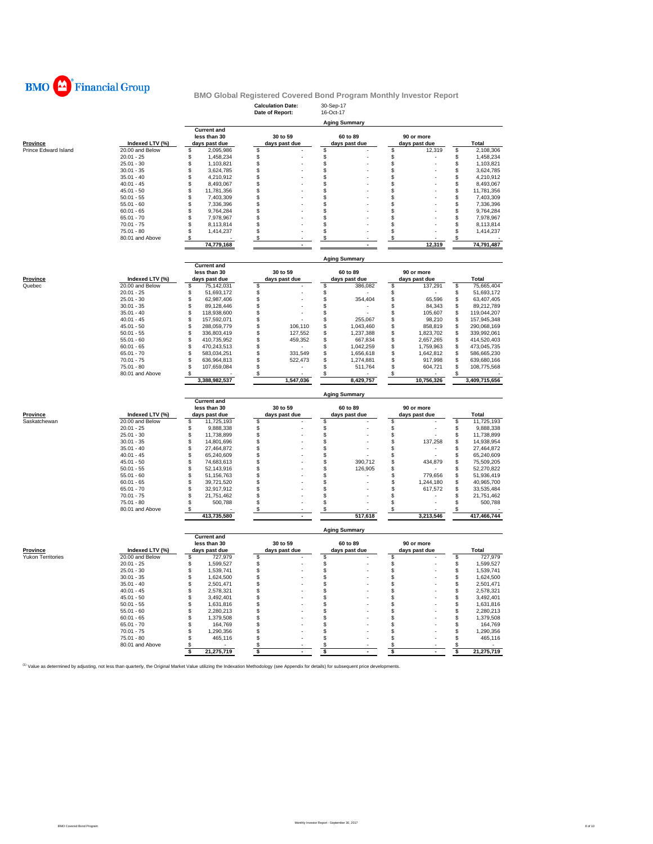

|                                                                                                                                                                                             |                                 |                                    | <b>Calculation Date:</b> | 30-Sep-17                 |                                |                                    |
|---------------------------------------------------------------------------------------------------------------------------------------------------------------------------------------------|---------------------------------|------------------------------------|--------------------------|---------------------------|--------------------------------|------------------------------------|
|                                                                                                                                                                                             |                                 |                                    | Date of Report:          | 16-Oct-17                 |                                |                                    |
|                                                                                                                                                                                             |                                 |                                    |                          | <b>Aging Summary</b>      |                                |                                    |
|                                                                                                                                                                                             |                                 | <b>Current and</b><br>less than 30 | 30 to 59                 | 60 to 89                  | 90 or more                     |                                    |
| <b>Province</b>                                                                                                                                                                             | Indexed LTV (%)                 | days past due                      | days past due            | days past due             | days past due                  | <b>Total</b>                       |
| Prince Edward Island                                                                                                                                                                        | 20.00 and Below                 | \$<br>2,095,986                    | \$                       | S                         | \$<br>12,319                   | \$<br>2,108,306                    |
|                                                                                                                                                                                             | $20.01 - 25$                    | \$<br>1,458,234                    | \$                       | \$                        | \$                             | \$<br>1,458,234                    |
|                                                                                                                                                                                             | $25.01 - 30$                    | \$<br>1,103,821                    | \$                       | \$                        | \$                             | \$<br>1,103,821                    |
|                                                                                                                                                                                             | $30.01 - 35$                    | \$<br>3,624,785                    | \$                       | \$                        | \$                             | \$<br>3,624,785                    |
|                                                                                                                                                                                             | $35.01 - 40$                    | \$<br>4,210,912                    | \$                       | \$                        | \$                             | \$<br>4,210,912                    |
|                                                                                                                                                                                             | $40.01 - 45$                    | \$<br>8,493,067                    | \$                       | \$                        | \$                             | \$<br>8,493,067                    |
|                                                                                                                                                                                             | $45.01 - 50$                    | \$<br>11,781,356                   | \$                       | \$                        | \$                             | \$<br>11,781,356                   |
|                                                                                                                                                                                             | $50.01 - 55$                    | \$<br>7,403,309                    | \$                       | \$                        | \$                             | \$<br>7,403,309                    |
|                                                                                                                                                                                             | $55.01 - 60$                    | \$<br>7,336,396                    | \$                       | \$                        | \$                             | \$<br>7,336,396                    |
|                                                                                                                                                                                             | $60.01 - 65$                    | \$<br>9,764,284                    | \$                       | \$                        | \$                             | \$<br>9,764,284                    |
|                                                                                                                                                                                             | $65.01 - 70$                    | \$<br>7,978,967                    | \$                       | \$                        | \$                             | \$<br>7,978,967                    |
|                                                                                                                                                                                             | $70.01 - 75$                    | \$<br>8,113,814                    | \$                       | \$                        | \$                             | \$<br>8,113,814                    |
|                                                                                                                                                                                             | $75.01 - 80$                    | \$<br>1,414,237                    | \$                       | \$                        | \$                             | \$<br>1,414,237                    |
|                                                                                                                                                                                             | 80.01 and Above                 | \$                                 | \$                       | \$                        | \$                             | \$                                 |
|                                                                                                                                                                                             |                                 | 74,779,168                         | $\blacksquare$           | ٠                         | 12,319                         | 74,791,487                         |
|                                                                                                                                                                                             |                                 |                                    |                          | <b>Aging Summary</b>      |                                |                                    |
|                                                                                                                                                                                             |                                 | <b>Current and</b>                 |                          |                           |                                |                                    |
|                                                                                                                                                                                             |                                 | less than 30                       | 30 to 59                 | 60 to 89                  | 90 or more                     |                                    |
| <b>Province</b>                                                                                                                                                                             | Indexed LTV (%)                 | days past due                      | days past due            | days past due             | days past due                  | Total                              |
| Quebec                                                                                                                                                                                      | 20.00 and Below                 | \$<br>75,142,031                   | \$                       | \$<br>386,082             | \$<br>137,291                  | \$<br>75,665,404                   |
|                                                                                                                                                                                             | $20.01 - 25$                    | \$<br>51,693,172                   | \$                       | \$                        | \$                             | \$<br>51,693,172                   |
|                                                                                                                                                                                             | $25.01 - 30$                    | \$<br>62,987,406                   | \$                       | \$<br>354,404             | \$<br>65,596                   | \$<br>63,407,405                   |
|                                                                                                                                                                                             | $30.01 - 35$                    | \$<br>89,128,446                   | \$                       | \$                        | \$<br>84,343                   | \$<br>89,212,789                   |
|                                                                                                                                                                                             | $35.01 - 40$                    | \$<br>118,938,600                  | \$                       | \$                        | \$<br>105,607                  | \$<br>119,044,207                  |
|                                                                                                                                                                                             | $40.01 - 45$                    | \$<br>157,592,071                  | \$                       | \$<br>255,067             | \$<br>98,210                   | \$<br>157,945,348                  |
|                                                                                                                                                                                             | $45.01 - 50$                    | \$<br>288,059,779                  | \$<br>106,110            | \$<br>1,043,460           | \$<br>858,819                  | \$<br>290,068,169                  |
|                                                                                                                                                                                             | $50.01 - 55$                    | \$<br>336,803,419                  | \$<br>127,552            | \$<br>1,237,388           | \$<br>1,823,702                | \$<br>339,992,061                  |
|                                                                                                                                                                                             | $55.01 - 60$                    | \$<br>410,735,952                  | \$<br>459.352            | \$<br>667,834             | \$<br>2,657,265                | \$<br>414,520,403                  |
|                                                                                                                                                                                             | $60.01 - 65$                    | \$<br>470,243,513                  | \$                       | \$<br>1,042,259           | \$<br>1,759,963                | \$<br>473,045,735                  |
|                                                                                                                                                                                             | $65.01 - 70$                    | \$<br>583,034,251                  | \$<br>331,549            | \$<br>1,656,618           | \$<br>1,642,812                | \$<br>586,665,230                  |
|                                                                                                                                                                                             | $70.01 - 75$                    | \$<br>636,964,813                  | \$<br>522,473            | \$<br>1,274,881           | \$<br>917,998                  | \$<br>639,680,166                  |
|                                                                                                                                                                                             | $75.01 - 80$                    | \$<br>107,659,084                  | \$                       | \$<br>511,764             | \$<br>604,721                  | \$<br>108,775,568                  |
|                                                                                                                                                                                             | 80.01 and Above                 | \$                                 | \$                       |                           | S                              | S                                  |
|                                                                                                                                                                                             |                                 | 3,388,982,537                      | 1,547,036                | 8,429,757                 | 10,756,326                     | 3,409,715,656                      |
|                                                                                                                                                                                             |                                 |                                    |                          | <b>Aging Summary</b>      |                                |                                    |
|                                                                                                                                                                                             |                                 |                                    |                          |                           |                                |                                    |
|                                                                                                                                                                                             |                                 | <b>Current and</b>                 |                          |                           |                                |                                    |
|                                                                                                                                                                                             |                                 | less than 30                       | 30 to 59                 | 60 to 89                  | 90 or more                     |                                    |
| Province                                                                                                                                                                                    | Indexed LTV (%)                 | days past due                      | days past due            | days past due             | days past due                  | Total                              |
| Saskatchewan                                                                                                                                                                                | 20.00 and Below                 | \$<br>11,725,193                   | \$                       | \$                        | \$                             | \$<br>11,725,193                   |
|                                                                                                                                                                                             | $20.01 - 25$                    | 9,888,338<br>\$                    | \$                       | \$                        | \$                             | \$<br>9,888,338                    |
|                                                                                                                                                                                             | $25.01 - 30$                    | 11,738,899<br>\$                   | \$                       | \$                        | \$                             | \$<br>11,738,899                   |
|                                                                                                                                                                                             | $30.01 - 35$                    | \$<br>14,801,696                   | \$                       | \$                        | \$<br>137,258                  | \$<br>14,938,954                   |
|                                                                                                                                                                                             | $35.01 - 40$                    | \$<br>27,464,872                   | \$                       | \$                        | \$<br>$\overline{\phantom{a}}$ | \$<br>27,464,872                   |
|                                                                                                                                                                                             | $40.01 - 45$                    | \$<br>65,240,609                   | \$                       | \$                        | \$                             | \$<br>65,240,609                   |
|                                                                                                                                                                                             | $45.01 - 50$                    | \$<br>74,683,613                   | \$                       | \$<br>390,712             | \$<br>434,879                  | \$<br>75,509,205                   |
|                                                                                                                                                                                             | $50.01 - 55$                    | \$<br>52,143,916                   | \$                       | \$<br>126,905             | \$                             | \$<br>52,270,822                   |
|                                                                                                                                                                                             | $55.01 - 60$                    | \$<br>51,156,763                   | \$                       | \$                        | \$<br>779,656                  | \$<br>51,936,419                   |
|                                                                                                                                                                                             | $60.01 - 65$                    | \$<br>39,721,520                   | \$                       | \$                        | \$<br>1,244,180                | \$<br>40,965,700                   |
|                                                                                                                                                                                             | $65.01 - 70$                    | \$<br>32,917,912                   | \$                       | \$                        | \$<br>617,572                  | \$<br>33,535,484                   |
|                                                                                                                                                                                             | $70.01 - 75$                    | \$<br>21,751,462                   | \$                       | \$                        | \$                             | \$<br>21,751,462                   |
|                                                                                                                                                                                             | $75.01 - 80$                    | \$<br>500,788                      | \$                       | \$                        | \$                             | \$<br>500,788                      |
|                                                                                                                                                                                             | 80.01 and Above                 | \$<br>413,735,580                  | \$                       | \$<br>517,618             | \$<br>3,213,546                | \$<br>417,466,744                  |
|                                                                                                                                                                                             |                                 |                                    |                          |                           |                                |                                    |
|                                                                                                                                                                                             |                                 |                                    |                          | <b>Aging Summary</b>      |                                |                                    |
|                                                                                                                                                                                             |                                 | <b>Current and</b><br>less than 30 | 30 to 59                 |                           |                                |                                    |
| Province                                                                                                                                                                                    | Indexed LTV (%)                 | days past due                      | days past due            | 60 to 89<br>days past due | 90 or more<br>days past due    | Total                              |
| <b>Yukon Territories</b>                                                                                                                                                                    | 20.00 and Below                 | \$<br>727,979                      | \$                       | \$                        | \$                             | 727,979<br>\$                      |
|                                                                                                                                                                                             | $20.01 - 25$                    | \$<br>1,599,527                    | \$                       | \$                        | \$                             | \$<br>1,599,527                    |
|                                                                                                                                                                                             | $25.01 - 30$                    | \$<br>1,539,741                    | \$                       | \$                        | \$                             | \$<br>1,539,741                    |
|                                                                                                                                                                                             | $30.01 - 35$                    | \$<br>1,624,500                    | \$                       | \$                        | \$                             | \$<br>1,624,500                    |
|                                                                                                                                                                                             | $35.01 - 40$                    | \$<br>2,501,471                    | \$                       | P                         | P                              | \$<br>2,501,471                    |
|                                                                                                                                                                                             | $40.01 - 45$                    | \$<br>2,578,321                    | \$                       | \$                        | \$                             | \$<br>2,578,321                    |
|                                                                                                                                                                                             | $45.01 - 50$                    | \$<br>3,492,401                    | \$                       | \$                        | \$                             | \$<br>3,492,401                    |
|                                                                                                                                                                                             |                                 | \$                                 | \$                       |                           | \$                             |                                    |
|                                                                                                                                                                                             | $50.01 - 55$<br>$55.01 - 60$    | 1,631,816<br>2,280,213<br>\$       | \$                       | \$<br>\$                  | \$                             | \$<br>1,631,816<br>\$<br>2,280,213 |
|                                                                                                                                                                                             | $60.01 - 65$                    | \$<br>1,379,508                    | \$                       | \$                        | \$                             | \$<br>1,379,508                    |
|                                                                                                                                                                                             | $65.01 - 70$                    | \$<br>164,769                      | \$                       | \$                        | \$                             | \$<br>164,769                      |
|                                                                                                                                                                                             | $70.01 - 75$                    | 1,290,356<br>\$                    | \$                       | \$                        | \$                             | \$<br>1,290,356                    |
|                                                                                                                                                                                             |                                 | \$                                 | \$                       |                           |                                |                                    |
|                                                                                                                                                                                             | $75.01 - 80$<br>80.01 and Above | 465,116<br>\$                      | \$                       | \$<br>\$                  | \$<br>\$                       | \$<br>465,116<br>\$                |
|                                                                                                                                                                                             |                                 | \$<br>21,275,719                   | \$<br>$\sim$             | \$<br>$\mathbf{r}$        | \$<br>$\mathbf{r}$             | \$<br>21,275,719                   |
| (1) Value as determined by adjusting, not less than quarterly, the Original Market Value utilizing the Indexation Methodology (see Appendix for details) for subsequent price developments. |                                 |                                    |                          |                           |                                |                                    |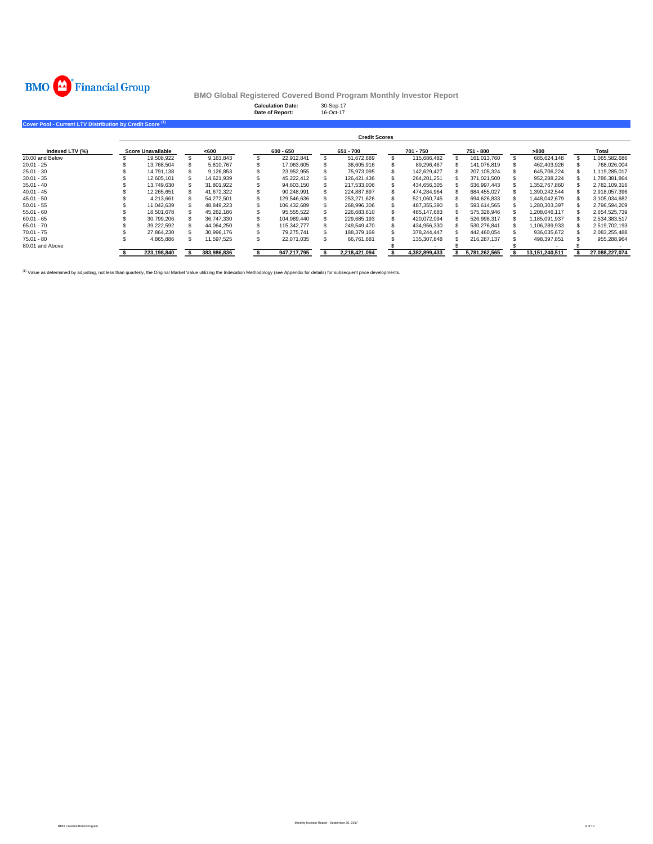

**Calculation Date:** 30-Sep-17 **Date of Report:** 16-Oct-17 **Cover Pool - Current LTV Distribution by Credit Score Indexed LTV (%) Score Unavailable <600 600 - 650 651 - 700 701 - 750 751 - 800 >800 Total** 20.00 and Below 19,508,922 \$ 9,163,843 \$ 22,912,841 \$ 51,672,689 \$ 115,686,482 \$ 161,013,760 \$ 685,624,148 \$ 1,065,582,686 \$ 20.01 - 25 13,768,504 \$ 5,810,767 \$ 17,063,605 \$ 38,605,916 \$ 89,296,467 \$ 141,076,819 \$ 462,403,926 \$ 768,026,004 \$ 25.01 - 30 14,791,138 \$ 9,126,853 \$ 23,952,955 \$ 75,973,095 \$ 142,629,427 \$ 207,105,324 \$ 645,706,224 \$ 1,119,285,017 \$ 30.01 - 35 12,605,101 \$ 14,621,939 \$ 45,222,412 \$ 126,421,436 \$ 264,201,251 \$ 371,021,500 \$ 952,288,224 \$ 1,786,381,864 \$ 35.01 - 40 \$ 13,749,630 \$ 31,801,922 \$ 94,603,150 \$ 217,533,006 \$ 434,656,305 \$ 636,997,443 \$ 1,352,767,860 \$ 2,782,109,316 40.01 - 45 12,265,651 \$ 41,672,322 \$ 90,248,991 \$ 224,887,897 \$ 474,284,964 \$ 684,455,027 \$ 1,390,242,544 \$ 2,918,057,396 \$ 45.01 - 50 4,213,661 \$ 54,272,501 \$ 129,546,636 \$ 253,271,626 \$ 521,060,745 \$ 694,626,833 \$ 1,448,042,679 \$ 3,105,034,682 \$ 50.01 - 55 11,042,639 \$ 48,849,223 \$ 106,432,689 \$ 268,996,306 \$ 487,355,390 \$ 593,614,565 \$ 1,280,303,397 \$ 2,796,594,209 \$ 55.01 - 60 \$ 18,501,678 \$ 45,262,186 \$ 95,555,522 \$ 226,683,610 \$ 485,147,683 \$ 575,328,946 \$ 1,208,046,117 \$ 2,654,525,739 60.01 - 65 30,799,206 \$ 36,747,330 \$ 104,989,440 \$ 229,685,193 \$ 420,072,094 \$ 526,998,317 \$ 1,185,091,937 \$ 2,534,383,517 \$ 65.01 - 70 39,222,592 \$ 44,064,250 \$ 115,342,777 \$ 249,549,470 \$ 434,956,330 \$ 530,276,841 \$ 1,106,289,933 \$ 2,519,702,193 \$ 70.01 - 75 27,864,230 \$ 30,996,176 \$ 79,275,741 \$ 188,379,169 \$ 378,244,447 \$ 442,460,054 \$ 936,035,672 \$ 2,083,255,488 \$ 75.01 - 80 4,865,886 \$ 11,597,525 \$ 22,071,035 \$ 66,761,681 \$ 135,307,848 \$ 216,287,137 \$ 498,397,851 \$ 955,288,964 \$ 80.01 and Above \$ - - \$ - \$ - \$ **\$ 383,986,836 223,198,840 \$ 947,217,795 \$ 2,218,421,094 \$ 4,382,899,433 \$ 5,781,262,565 \$ 13,151,240,511 \$ 27,088,227,074 \$ Credit Scores**

<sup>(1)</sup> Value as determined by adjusting, not less than quarterly, the Original Market Value utilizing the Indexation Methodology (see Appendix for details) for subsequent price develop